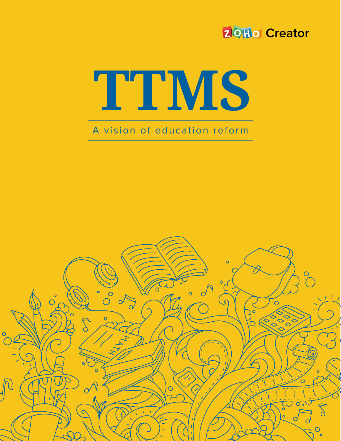#### **20Hol Creator**

# **TTMS**

#### A vision of education reform

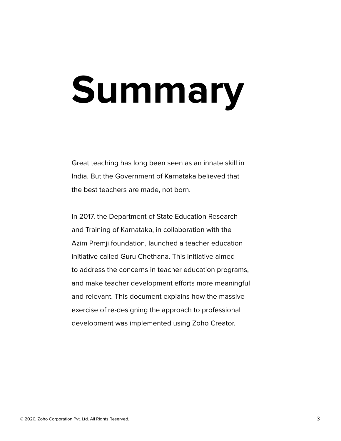## **Summary**

Great teaching has long been seen as an innate skill in India. But the Government of Karnataka believed that the best teachers are made, not born.

In 2017, the Department of State Education Research and Training of Karnataka, in collaboration with the Azim Premji foundation, launched a teacher education initiative called Guru Chethana. This initiative aimed to address the concerns in teacher education programs, and make teacher development efforts more meaningful and relevant. This document explains how the massive exercise of re-designing the approach to professional development was implemented using Zoho Creator.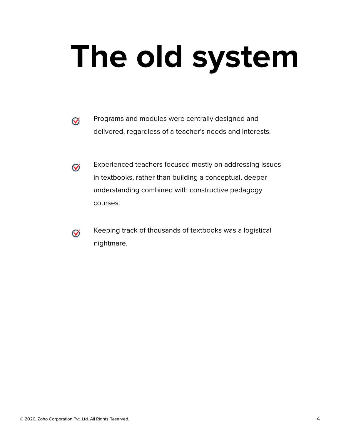## **The old system**

- Programs and modules were centrally designed and  $\heartsuit$ delivered, regardless of a teacher's needs and interests.
- Experienced teachers focused mostly on addressing issues  $\heartsuit$ in textbooks, rather than building a conceptual, deeper understanding combined with constructive pedagogy courses.
- $\heartsuit$
- Keeping track of thousands of textbooks was a logistical nightmare.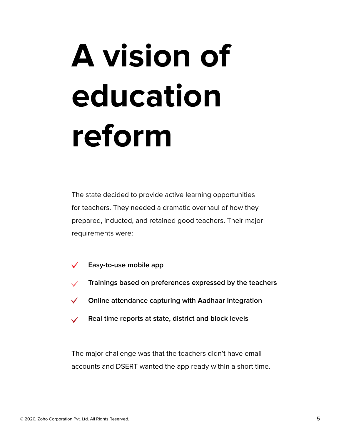## **A vision of education reform**

The state decided to provide active learning opportunities for teachers. They needed a dramatic overhaul of how they prepared, inducted, and retained good teachers. Their major requirements were:

- **Easy-to-use mobile app**
- **Trainings based on preferences expressed by the teachers**
- $\checkmark$ **Online attendance capturing with Aadhaar Integration**
- **Real time reports at state, district and block levels**

The major challenge was that the teachers didn't have email accounts and DSERT wanted the app ready within a short time.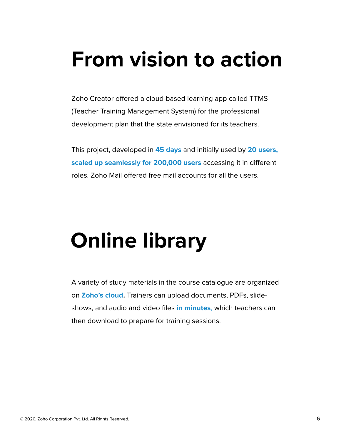### **From vision to action**

Zoho Creator offered a cloud-based learning app called TTMS (Teacher Training Management System) for the professional development plan that the state envisioned for its teachers.

This project, developed in **45 days** and initially used by **20 users, scaled up seamlessly for 200,000 users** accessing it in different roles. Zoho Mail offered free mail accounts for all the users.

#### **Online library**

A variety of study materials in the course catalogue are organized on **Zoho's cloud.** Trainers can upload documents, PDFs, slideshows, and audio and video files **in minutes**, which teachers can then download to prepare for training sessions.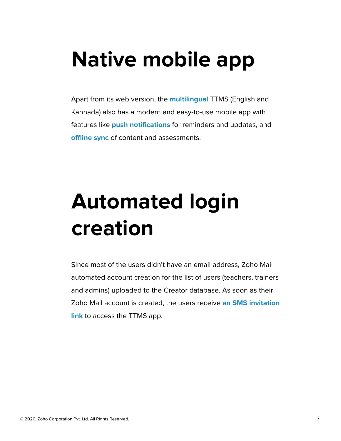### **Native mobile app**

Apart from its web version, the **multilingual** TTMS (English and Kannada) also has a modern and easy-to-use mobile app with features like **push notifications** for reminders and updates, and **offline sync** of content and assessments.

## **Automated login creation**

Since most of the users didn't have an email address, Zoho Mail automated account creation for the list of users (teachers, trainers and admins) uploaded to the Creator database. As soon as their Zoho Mail account is created, the users receive **an SMS invitation link** to access the TTMS app.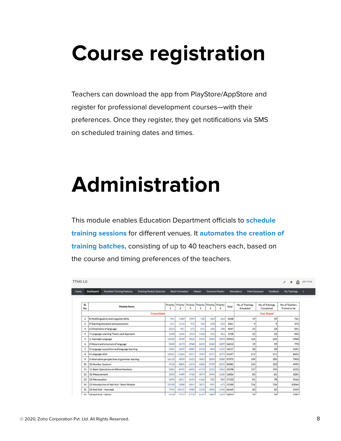#### **Course registration**

Teachers can download the app from PlayStore/AppStore and register for professional development courses—with their preferences. Once they register, they get notifications via SMS on scheduled training dates and times.

#### **Administration**

This module enables Education Department officials to **schedule training sessions** for different venues. It **automates the creation of training batches,** consisting of up to 40 teachers each, based on the course and timing preferences of the teachers.

| <b>TTMS 1.0</b> |                         |                                                |                                  |                          |                                     |             |                        |                                 |                      |            |                                     |                               | ۵<br>r<br>₳                       |
|-----------------|-------------------------|------------------------------------------------|----------------------------------|--------------------------|-------------------------------------|-------------|------------------------|---------------------------------|----------------------|------------|-------------------------------------|-------------------------------|-----------------------------------|
|                 | Dashboard               | <b>Available Training Modules</b>              | <b>Training Module Selection</b> |                          | <b>Batch Formation</b>              |             | Master                 |                                 | <b>Common Master</b> |            | <b>Mark Exclusion</b><br>Attendance | Feedback                      | My Trainings                      |
|                 |                         |                                                |                                  |                          |                                     |             |                        |                                 |                      |            |                                     |                               |                                   |
| SI.<br>No.      |                         | Module Name                                    |                                  | Priority<br>$\mathbf{1}$ | Priority Priority<br>$\overline{2}$ | 3           | $\boldsymbol{\Lambda}$ | Priority Priority Priority<br>5 | 6                    | Total      | No. of Trainings<br>Scheduled       | No. of Trainings<br>Completed | No. of Teachers<br>Trained so far |
|                 |                         | Consolidate<br><b>Year Based</b>               |                                  |                          |                                     |             |                        |                                 |                      |            |                                     |                               |                                   |
| $\mathbf{1}$    |                         | 8-Multilingualism and Linguistic Skills        |                                  | 941                      | 1483                                | 1094        | 730                    | 363                             | 264                  | 4248       | 19                                  | 19                            | 721                               |
| 2               |                         | 9-Teaching literature and assessment           |                                  | 671                      | 1214                                | 972         | 704                    | 278                             | 255                  | 3561       | 9                                   | $\circ$                       | 372                               |
| 3               |                         | 6-Dimensions of language                       |                                  | 2313                     | 951                                 | 672         | 611                    | 318                             | 238                  | 4547       | 23                                  | 23                            | 831                               |
| 4               |                         | 7-Language Learning Theory and Approach        |                                  | 1648                     | 1636                                | 1016        | 1428                   | 416                             | 361                  | 5728       | 22                                  | 22                            | 843                               |
| 5               | 1- Kannada Language     |                                                |                                  | 13332                    | 4649                                | 3026        | 2916                   | 2324                            |                      | 2093 23923 | 126                                 | 125                           | 4968                              |
| 6               |                         | 2-Nature and structure of language             |                                  | 5040                     | 5573                                | 2968        | 2631                   | 1560                            | 1899                 | 16212      | 19                                  | 19                            | 770                               |
| $\overline{7}$  |                         | 3-Language acquisition and language learning   |                                  | 5281                     | 3629                                | 3089        | 2518                   | 894                             | 1122                 | 14517      | 58                                  | 58                            | 2341                              |
| 8               | 4-Language skills       |                                                |                                  | 16062                    | 11665                               | 6921        | 7049                   | 3271                            | 3679                 | 41697      | 214                                 | 211                           | 8602                              |
| 9               |                         | 5-Alternative perspectives in grammar learning |                                  | 16110                    | 9839                                | 5623        | 5803                   | 2004                            | 2080                 | 37375      | 199                                 | 195                           | 7903                              |
| 10              | 10-Number Systems       |                                                |                                  | 5518                     | 8805                                | 6374        | 4288                   | 2759                            | 2055                 | 24985      | 124                                 | 123                           | 4995                              |
| 11              |                         | 11-Basic Operations on Whole Numbers           |                                  | 5882                     | 8995                                | 6002        | 4719                   | 2222                            | 1842                 | 25598      | 157                                 | 155                           | 6225                              |
| 12              | 12-Measurement          |                                                |                                  | 3503                     | 5489                                | 4760        | 3074                   | 1940                            | 1620                 | 16826      | 83                                  | 81                            | 3281                              |
| 13              | 13-Mensuration          |                                                |                                  | 3292                     | 6011                                | 3654        | 4166                   | 922                             | 882                  | 17123      | 81                                  | 78                            | 3166                              |
| 14              |                         | 22-Introduction of Nali-Kali - Basic Module    |                                  | 10100                    | 3388                                | 3841        | 3871                   | 891                             | 672                  | 21200      | 726                                 | 726                           | 50064                             |
| 15              |                         | 23-Nali-Kali - Kannada                         |                                  | 7944                     | 10415                               | 4980        | 3130                   | 1892                            | 1196                 | 26469      | 60                                  | 60                            | 2459                              |
|                 | 16 24-Nali-Kali - Maths |                                                |                                  | 3168                     | 7257                                | <b>9774</b> | 4627                   | 1883                            |                      | 1603 24826 | 59                                  | 50                            | 2385                              |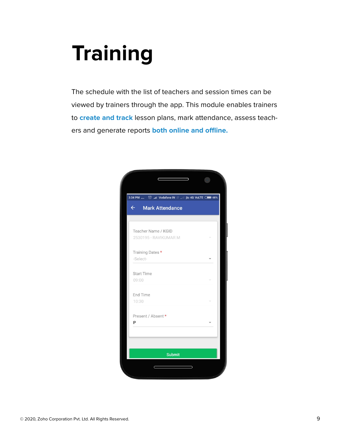### **Training**

The schedule with the list of teachers and session times can be viewed by trainers through the app. This module enables trainers to **create and track** lesson plans, mark attendance, assess teachers and generate reports **both online and offline.**

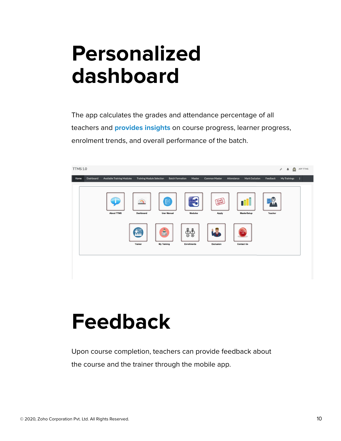#### **Personalized dashboard**

The app calculates the grades and attendance percentage of all teachers and **provides insights** on course progress, learner progress, enrolment trends, and overall performance of the batch.



#### **Feedback**

Upon course completion, teachers can provide feedback about

the course and the trainer through the mobile app.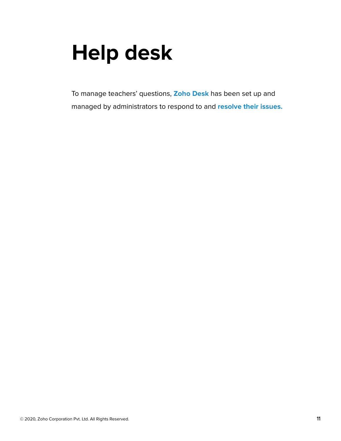#### **Help desk**

To manage teachers' questions, **Zoho Desk** has been set up and managed by administrators to respond to and **resolve their issues.**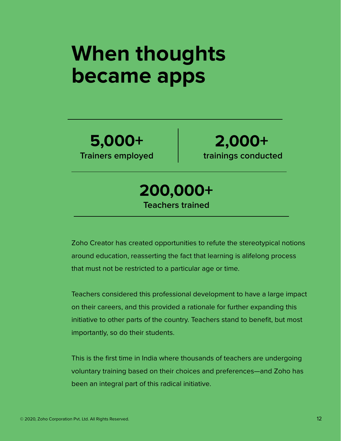#### **When thoughts became apps**

**5,000+ Trainers employed**

**2,000+ trainings conducted**

**200,000+ Teachers trained**

Zoho Creator has created opportunities to refute the stereotypical notions around education, reasserting the fact that learning is alifelong process that must not be restricted to a particular age or time.

Teachers considered this professional development to have a large impact on their careers, and this provided a rationale for further expanding this initiative to other parts of the country. Teachers stand to benefit, but most importantly, so do their students.

This is the first time in India where thousands of teachers are undergoing voluntary training based on their choices and preferences—and Zoho has been an integral part of this radical initiative.